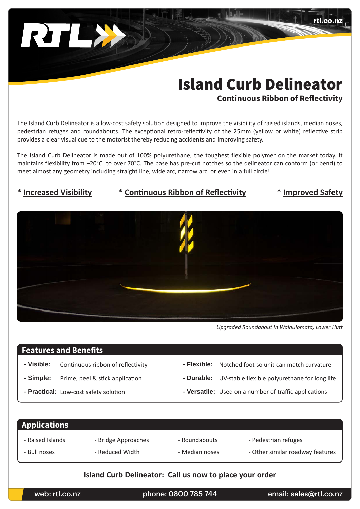# Island Curb Delineator

**Continuous Ribbon of Reflectivity**

rtl.co.nz

The Island Curb Delineator is a low-cost safety solution designed to improve the visibility of raised islands, median noses, pedestrian refuges and roundabouts. The exceptional retro-reflectivity of the 25mm (yellow or white) reflective strip provides a clear visual cue to the motorist thereby reducing accidents and improving safety.

The Island Curb Delineator is made out of 100% polyurethane, the toughest flexible polymer on the market today. It maintains flexibility from –20°C to over 70°C. The base has pre-cut notches so the delineator can conform (or bend) to meet almost any geometry including straight line, wide arc, narrow arc, or even in a full circle!

# **\* Increased Visibility \* Continuous Ribbon of Reflectivity \* Improved Safety**

*Upgraded Roundabout in Wainuiomata, Lower Hutt*

# **Features and Benefits**

RILLA

- 
- 
- 
- **Visible:** Continuous ribbon of reflectivity  **Flexible:** Notched foot so unit can match curvature
- **Simple:** Prime, peel & stick application  **Durable:** UV-stable flexible polyurethane for long life
- **Practical:** Low-cost safety solution  **State of the Versatile:** Used on a number of traffic applications

### - Raised Islands - Bull noses - Bridge Approaches - Reduced Width - Roundabouts - Median noses - Pedestrian refuges - Other similar roadway features **Applications**

# **Island Curb Delineator: Call us now to place your order**